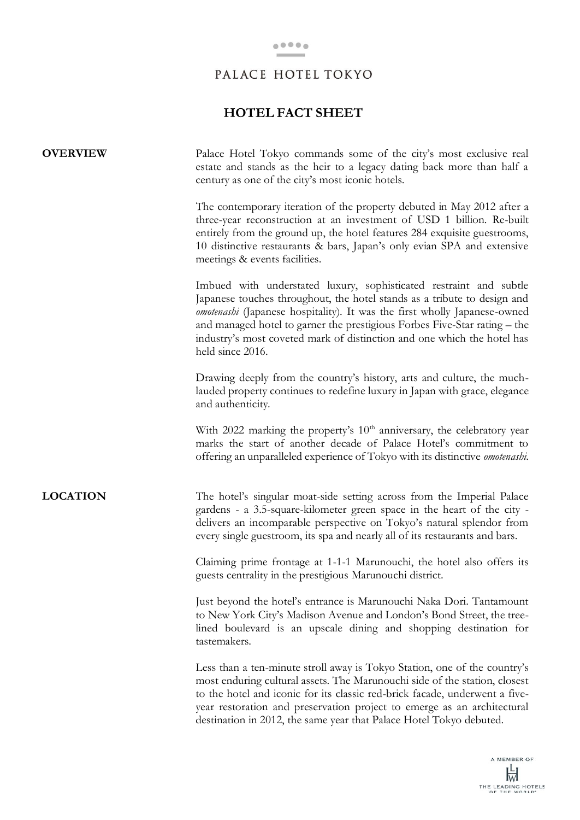# **HOTEL FACT SHEET**

| <b>OVERVIEW</b> | Palace Hotel Tokyo commands some of the city's most exclusive real<br>estate and stands as the heir to a legacy dating back more than half a<br>century as one of the city's most iconic hotels.                                                                                                                                                                                                               |
|-----------------|----------------------------------------------------------------------------------------------------------------------------------------------------------------------------------------------------------------------------------------------------------------------------------------------------------------------------------------------------------------------------------------------------------------|
|                 | The contemporary iteration of the property debuted in May 2012 after a<br>three-year reconstruction at an investment of USD 1 billion. Re-built<br>entirely from the ground up, the hotel features 284 exquisite guestrooms,<br>10 distinctive restaurants & bars, Japan's only evian SPA and extensive<br>meetings & events facilities.                                                                       |
|                 | Imbued with understated luxury, sophisticated restraint and subtle<br>Japanese touches throughout, the hotel stands as a tribute to design and<br><i>omotenashi</i> (Japanese hospitality). It was the first wholly Japanese-owned<br>and managed hotel to garner the prestigious Forbes Five-Star rating - the<br>industry's most coveted mark of distinction and one which the hotel has<br>held since 2016. |
|                 | Drawing deeply from the country's history, arts and culture, the much-<br>lauded property continues to redefine luxury in Japan with grace, elegance<br>and authenticity.                                                                                                                                                                                                                                      |
|                 | With 2022 marking the property's $10th$ anniversary, the celebratory year<br>marks the start of another decade of Palace Hotel's commitment to<br>offering an unparalleled experience of Tokyo with its distinctive <i>omotenashi</i> .                                                                                                                                                                        |
| <b>LOCATION</b> | The hotel's singular moat-side setting across from the Imperial Palace<br>gardens - a 3.5-square-kilometer green space in the heart of the city -<br>delivers an incomparable perspective on Tokyo's natural splendor from<br>every single guestroom, its spa and nearly all of its restaurants and bars.                                                                                                      |
|                 | Claiming prime frontage at 1-1-1 Marunouchi, the hotel also offers its<br>guests centrality in the prestigious Marunouchi district.                                                                                                                                                                                                                                                                            |
|                 | Just beyond the hotel's entrance is Marunouchi Naka Dori. Tantamount<br>to New York City's Madison Avenue and London's Bond Street, the tree-<br>lined boulevard is an upscale dining and shopping destination for<br>tastemakers.                                                                                                                                                                             |
|                 | Less than a ten-minute stroll away is Tokyo Station, one of the country's<br>most enduring cultural assets. The Marunouchi side of the station, closest<br>to the hotel and iconic for its classic red-brick facade, underwent a five-<br>year restoration and preservation project to emerge as an architectural<br>destination in 2012, the same year that Palace Hotel Tokyo debuted.                       |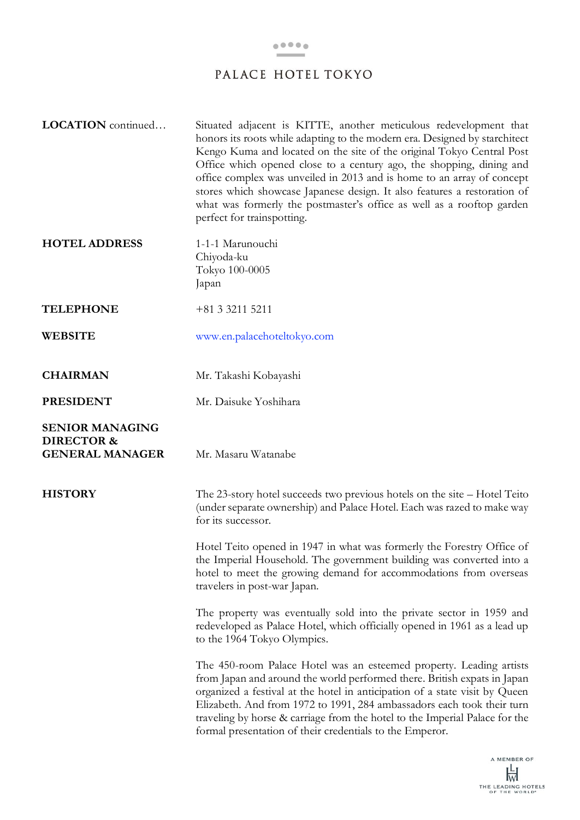| LOCATION continued                                                        | Situated adjacent is KITTE, another meticulous redevelopment that<br>honors its roots while adapting to the modern era. Designed by starchitect<br>Kengo Kuma and located on the site of the original Tokyo Central Post<br>Office which opened close to a century ago, the shopping, dining and<br>office complex was unveiled in 2013 and is home to an array of concept<br>stores which showcase Japanese design. It also features a restoration of<br>what was formerly the postmaster's office as well as a rooftop garden<br>perfect for trainspotting. |
|---------------------------------------------------------------------------|---------------------------------------------------------------------------------------------------------------------------------------------------------------------------------------------------------------------------------------------------------------------------------------------------------------------------------------------------------------------------------------------------------------------------------------------------------------------------------------------------------------------------------------------------------------|
| <b>HOTEL ADDRESS</b>                                                      | 1-1-1 Marunouchi<br>Chiyoda-ku<br>Tokyo 100-0005<br>Japan                                                                                                                                                                                                                                                                                                                                                                                                                                                                                                     |
| <b>TELEPHONE</b>                                                          | +81 3 3211 5211                                                                                                                                                                                                                                                                                                                                                                                                                                                                                                                                               |
| <b>WEBSITE</b>                                                            | www.en.palacehoteltokyo.com                                                                                                                                                                                                                                                                                                                                                                                                                                                                                                                                   |
| <b>CHAIRMAN</b>                                                           | Mr. Takashi Kobayashi                                                                                                                                                                                                                                                                                                                                                                                                                                                                                                                                         |
| <b>PRESIDENT</b>                                                          | Mr. Daisuke Yoshihara                                                                                                                                                                                                                                                                                                                                                                                                                                                                                                                                         |
| <b>SENIOR MANAGING</b><br><b>DIRECTOR &amp;</b><br><b>GENERAL MANAGER</b> | Mr. Masaru Watanabe                                                                                                                                                                                                                                                                                                                                                                                                                                                                                                                                           |
| <b>HISTORY</b>                                                            | The 23-story hotel succeeds two previous hotels on the site - Hotel Teito<br>(under separate ownership) and Palace Hotel. Each was razed to make way<br>for its successor.<br>Hotel Teito opened in 1947 in what was formerly the Forestry Office of                                                                                                                                                                                                                                                                                                          |
|                                                                           | the Imperial Household. The government building was converted into a<br>hotel to meet the growing demand for accommodations from overseas<br>travelers in post-war Japan.                                                                                                                                                                                                                                                                                                                                                                                     |
|                                                                           | The property was eventually sold into the private sector in 1959 and<br>redeveloped as Palace Hotel, which officially opened in 1961 as a lead up<br>to the 1964 Tokyo Olympics.                                                                                                                                                                                                                                                                                                                                                                              |
|                                                                           | The 450-room Palace Hotel was an esteemed property. Leading artists<br>from Japan and around the world performed there. British expats in Japan<br>organized a festival at the hotel in anticipation of a state visit by Queen<br>Elizabeth. And from 1972 to 1991, 284 ambassadors each took their turn<br>traveling by horse & carriage from the hotel to the Imperial Palace for the<br>formal presentation of their credentials to the Emperor.                                                                                                           |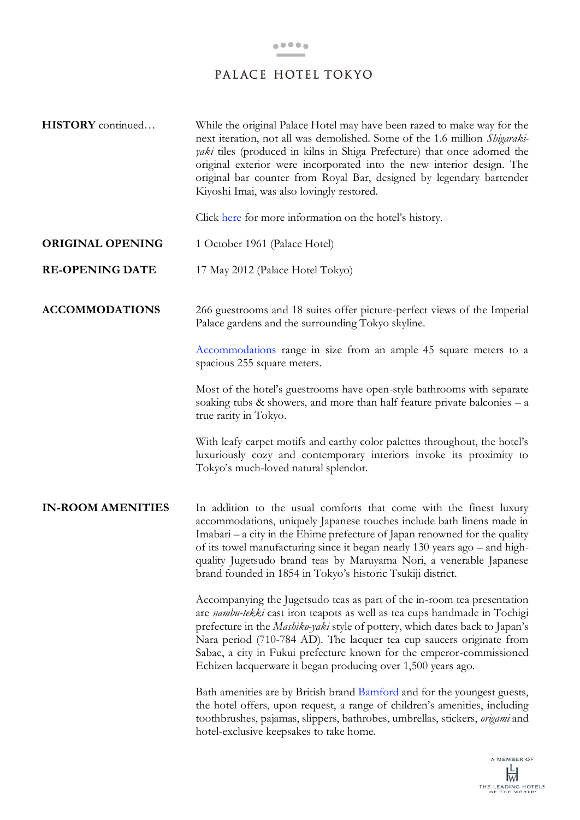| <b>HISTORY</b> continued | While the original Palace Hotel may have been razed to make way for the<br>next iteration, not all was demolished. Some of the 1.6 million Shigaraki-<br><i>yaki</i> tiles (produced in kilns in Shiga Prefecture) that once adorned the<br>original exterior were incorporated into the new interior design. The<br>original bar counter from Royal Bar, designed by legendary bartender<br>Kiyoshi Imai, was also lovingly restored.               |
|--------------------------|------------------------------------------------------------------------------------------------------------------------------------------------------------------------------------------------------------------------------------------------------------------------------------------------------------------------------------------------------------------------------------------------------------------------------------------------------|
|                          | Click here for more information on the hotel's history.                                                                                                                                                                                                                                                                                                                                                                                              |
| <b>ORIGINAL OPENING</b>  | 1 October 1961 (Palace Hotel)                                                                                                                                                                                                                                                                                                                                                                                                                        |
| <b>RE-OPENING DATE</b>   | 17 May 2012 (Palace Hotel Tokyo)                                                                                                                                                                                                                                                                                                                                                                                                                     |
| <b>ACCOMMODATIONS</b>    | 266 guestrooms and 18 suites offer picture-perfect views of the Imperial<br>Palace gardens and the surrounding Tokyo skyline.                                                                                                                                                                                                                                                                                                                        |
|                          | Accommodations range in size from an ample 45 square meters to a<br>spacious 255 square meters.                                                                                                                                                                                                                                                                                                                                                      |
|                          | Most of the hotel's guestrooms have open-style bathrooms with separate<br>soaking tubs $\&$ showers, and more than half feature private balconies $- a$<br>true rarity in Tokyo.                                                                                                                                                                                                                                                                     |
|                          | With leafy carpet motifs and earthy color palettes throughout, the hotel's<br>luxuriously cozy and contemporary interiors invoke its proximity to<br>Tokyo's much-loved natural splendor.                                                                                                                                                                                                                                                            |
| <b>IN-ROOM AMENITIES</b> | In addition to the usual comforts that come with the finest luxury<br>accommodations, uniquely Japanese touches include bath linens made in<br>Imabari – a city in the Ehime prefecture of Japan renowned for the quality<br>of its towel manufacturing since it began nearly 130 years ago – and high-<br>quality Jugetsudo brand teas by Maruyama Nori, a venerable Japanese<br>brand founded in 1854 in Tokyo's historic Tsukiji district.        |
|                          | Accompanying the Jugetsudo teas as part of the in-room tea presentation<br>are nambu-tekki cast iron teapots as well as tea cups handmade in Tochigi<br>prefecture in the Mashiko-yaki style of pottery, which dates back to Japan's<br>Nara period (710-784 AD). The lacquer tea cup saucers originate from<br>Sabae, a city in Fukui prefecture known for the emperor-commissioned<br>Echizen lacquerware it began producing over 1,500 years ago. |
|                          | Bath amenities are by British brand Bamford and for the youngest guests,<br>the hotel offers, upon request, a range of children's amenities, including<br>toothbrushes, pajamas, slippers, bathrobes, umbrellas, stickers, origami and<br>hotel-exclusive keepsakes to take home.                                                                                                                                                                    |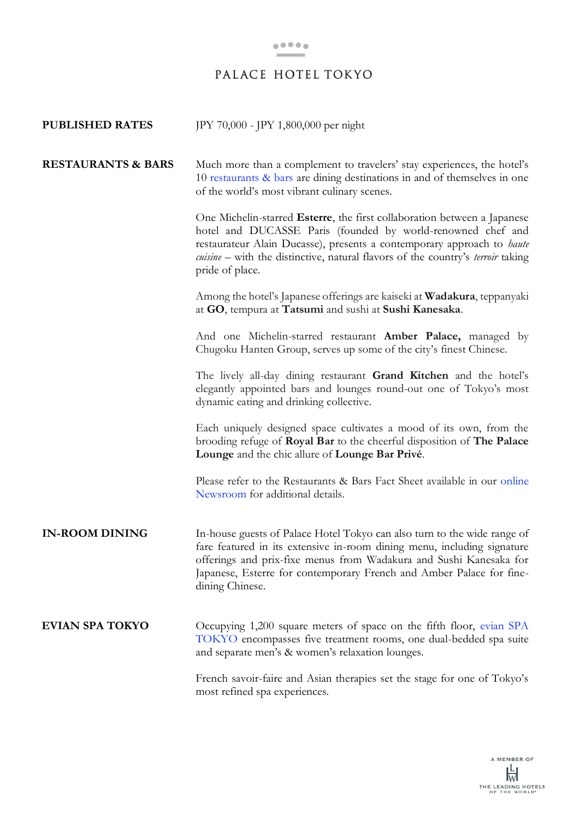| <b>PUBLISHED RATES</b>        | JPY 70,000 - JPY 1,800,000 per night                                                                                                                                                                                                                                                                                    |
|-------------------------------|-------------------------------------------------------------------------------------------------------------------------------------------------------------------------------------------------------------------------------------------------------------------------------------------------------------------------|
| <b>RESTAURANTS &amp; BARS</b> | Much more than a complement to travelers' stay experiences, the hotel's<br>10 restaurants & bars are dining destinations in and of themselves in one<br>of the world's most vibrant culinary scenes.                                                                                                                    |
|                               | One Michelin-starred Esterre, the first collaboration between a Japanese<br>hotel and DUCASSE Paris (founded by world-renowned chef and<br>restaurateur Alain Ducasse), presents a contemporary approach to haute<br>cuisine – with the distinctive, natural flavors of the country's terroir taking<br>pride of place. |
|                               | Among the hotel's Japanese offerings are kaiseki at Wadakura, teppanyaki<br>at GO, tempura at Tatsumi and sushi at Sushi Kanesaka.                                                                                                                                                                                      |
|                               | And one Michelin-starred restaurant <b>Amber Palace</b> , managed by<br>Chugoku Hanten Group, serves up some of the city's finest Chinese.                                                                                                                                                                              |
|                               | The lively all-day dining restaurant Grand Kitchen and the hotel's<br>elegantly appointed bars and lounges round-out one of Tokyo's most<br>dynamic eating and drinking collective.                                                                                                                                     |
|                               | Each uniquely designed space cultivates a mood of its own, from the<br>brooding refuge of Royal Bar to the cheerful disposition of The Palace<br>Lounge and the chic allure of Lounge Bar Privé.                                                                                                                        |
|                               | Please refer to the Restaurants & Bars Fact Sheet available in our online<br>Newsroom for additional details.                                                                                                                                                                                                           |
| <b>IN-ROOM DINING</b>         | In-house guests of Palace Hotel Tokyo can also turn to the wide range of<br>fare featured in its extensive in-room dining menu, including signature<br>offerings and prix-fixe menus from Wadakura and Sushi Kanesaka for<br>Japanese, Esterre for contemporary French and Amber Palace for fine-<br>dining Chinese.    |
| <b>EVIAN SPA TOKYO</b>        | Occupying 1,200 square meters of space on the fifth floor, evian SPA<br>TOKYO encompasses five treatment rooms, one dual-bedded spa suite<br>and separate men's & women's relaxation lounges.                                                                                                                           |
|                               | French savoir-faire and Asian therapies set the stage for one of Tokyo's<br>most refined spa experiences.                                                                                                                                                                                                               |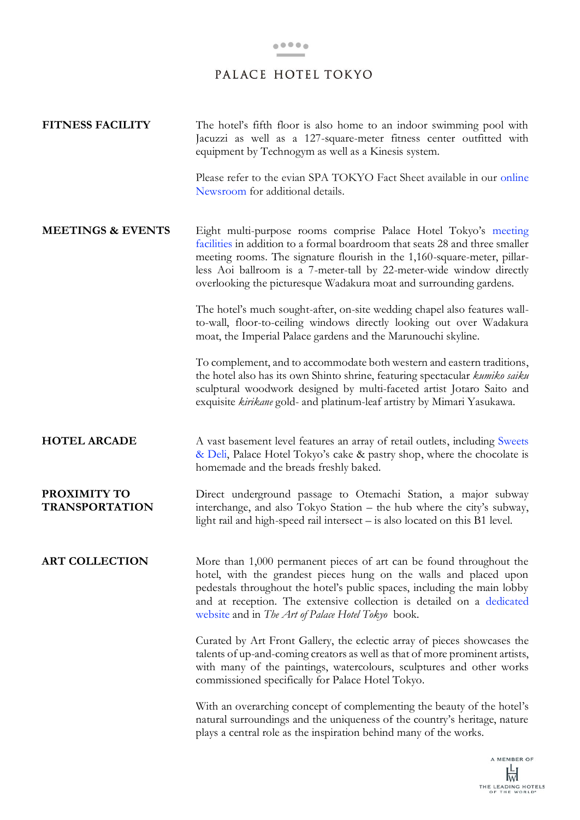| <b>FITNESS FACILITY</b>               | The hotel's fifth floor is also home to an indoor swimming pool with<br>Jacuzzi as well as a 127-square-meter fitness center outfitted with<br>equipment by Technogym as well as a Kinesis system.                                                                                                                                                                        |
|---------------------------------------|---------------------------------------------------------------------------------------------------------------------------------------------------------------------------------------------------------------------------------------------------------------------------------------------------------------------------------------------------------------------------|
|                                       | Please refer to the evian SPA TOKYO Fact Sheet available in our online<br>Newsroom for additional details.                                                                                                                                                                                                                                                                |
| <b>MEETINGS &amp; EVENTS</b>          | Eight multi-purpose rooms comprise Palace Hotel Tokyo's meeting<br>facilities in addition to a formal boardroom that seats 28 and three smaller<br>meeting rooms. The signature flourish in the 1,160-square-meter, pillar-<br>less Aoi ballroom is a 7-meter-tall by 22-meter-wide window directly<br>overlooking the picturesque Wadakura moat and surrounding gardens. |
|                                       | The hotel's much sought-after, on-site wedding chapel also features wall-<br>to-wall, floor-to-ceiling windows directly looking out over Wadakura<br>moat, the Imperial Palace gardens and the Marunouchi skyline.                                                                                                                                                        |
|                                       | To complement, and to accommodate both western and eastern traditions,<br>the hotel also has its own Shinto shrine, featuring spectacular kumiko saiku<br>sculptural woodwork designed by multi-faceted artist Jotaro Saito and<br>exquisite kirikane gold- and platinum-leaf artistry by Mimari Yasukawa.                                                                |
| <b>HOTEL ARCADE</b>                   | A vast basement level features an array of retail outlets, including Sweets<br>& Deli, Palace Hotel Tokyo's cake & pastry shop, where the chocolate is<br>homemade and the breads freshly baked.                                                                                                                                                                          |
| PROXIMITY TO<br><b>TRANSPORTATION</b> | Direct underground passage to Otemachi Station, a major subway<br>interchange, and also Tokyo Station - the hub where the city's subway,<br>light rail and high-speed rail intersect - is also located on this B1 level.                                                                                                                                                  |
| <b>ART COLLECTION</b>                 | More than 1,000 permanent pieces of art can be found throughout the<br>hotel, with the grandest pieces hung on the walls and placed upon<br>pedestals throughout the hotel's public spaces, including the main lobby<br>and at reception. The extensive collection is detailed on a dedicated<br>website and in The Art of Palace Hotel Tokyo book.                       |
|                                       | Curated by Art Front Gallery, the eclectic array of pieces showcases the<br>talents of up-and-coming creators as well as that of more prominent artists,<br>with many of the paintings, watercolours, sculptures and other works<br>commissioned specifically for Palace Hotel Tokyo.                                                                                     |
|                                       | With an overarching concept of complementing the beauty of the hotel's<br>natural surroundings and the uniqueness of the country's heritage, nature<br>plays a central role as the inspiration behind many of the works.                                                                                                                                                  |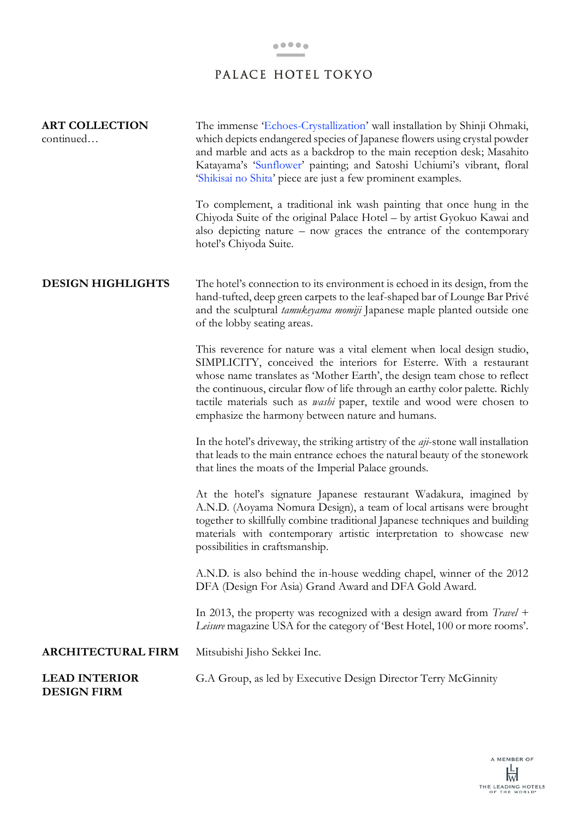| <b>ART COLLECTION</b><br>continued         | The immense Echoes-Crystallization' wall installation by Shinji Ohmaki,<br>which depicts endangered species of Japanese flowers using crystal powder<br>and marble and acts as a backdrop to the main reception desk; Masahito<br>Katayama's 'Sunflower' painting; and Satoshi Uchiumi's vibrant, floral<br>'Shikisai no Shita' piece are just a few prominent examples.                                                                         |
|--------------------------------------------|--------------------------------------------------------------------------------------------------------------------------------------------------------------------------------------------------------------------------------------------------------------------------------------------------------------------------------------------------------------------------------------------------------------------------------------------------|
|                                            | To complement, a traditional ink wash painting that once hung in the<br>Chiyoda Suite of the original Palace Hotel - by artist Gyokuo Kawai and<br>also depicting nature - now graces the entrance of the contemporary<br>hotel's Chiyoda Suite.                                                                                                                                                                                                 |
| <b>DESIGN HIGHLIGHTS</b>                   | The hotel's connection to its environment is echoed in its design, from the<br>hand-tufted, deep green carpets to the leaf-shaped bar of Lounge Bar Privé<br>and the sculptural tamukeyama momiji Japanese maple planted outside one<br>of the lobby seating areas.                                                                                                                                                                              |
|                                            | This reverence for nature was a vital element when local design studio,<br>SIMPLICITY, conceived the interiors for Esterre. With a restaurant<br>whose name translates as 'Mother Earth', the design team chose to reflect<br>the continuous, circular flow of life through an earthy color palette. Richly<br>tactile materials such as <i>washi</i> paper, textile and wood were chosen to<br>emphasize the harmony between nature and humans. |
|                                            | In the hotel's driveway, the striking artistry of the <i>aji</i> -stone wall installation<br>that leads to the main entrance echoes the natural beauty of the stonework<br>that lines the moats of the Imperial Palace grounds.                                                                                                                                                                                                                  |
|                                            | At the hotel's signature Japanese restaurant Wadakura, imagined by<br>A.N.D. (Aoyama Nomura Design), a team of local artisans were brought<br>together to skillfully combine traditional Japanese techniques and building<br>materials with contemporary artistic interpretation to showcase new<br>possibilities in craftsmanship.                                                                                                              |
|                                            | A.N.D. is also behind the in-house wedding chapel, winner of the 2012<br>DFA (Design For Asia) Grand Award and DFA Gold Award.                                                                                                                                                                                                                                                                                                                   |
|                                            | In 2013, the property was recognized with a design award from ${Travel +}$<br>Leisure magazine USA for the category of 'Best Hotel, 100 or more rooms'.                                                                                                                                                                                                                                                                                          |
| <b>ARCHITECTURAL FIRM</b>                  | Mitsubishi Jisho Sekkei Inc.                                                                                                                                                                                                                                                                                                                                                                                                                     |
| <b>LEAD INTERIOR</b><br><b>DESIGN FIRM</b> | G.A Group, as led by Executive Design Director Terry McGinnity                                                                                                                                                                                                                                                                                                                                                                                   |